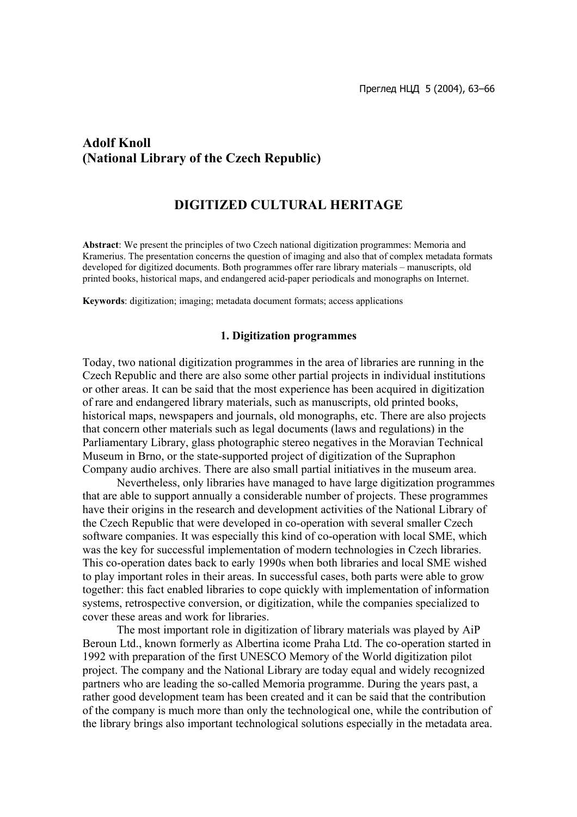# **Adolf Knoll (National Library of the Czech Republic)**

## **DIGITIZED CULTURAL HERITAGE**

**Abstract**: We present the principles of two Czech national digitization programmes: Memoria and Kramerius. The presentation concerns the question of imaging and also that of complex metadata formats developed for digitized documents. Both programmes offer rare library materials – manuscripts, old printed books, historical maps, and endangered acid-paper periodicals and monographs on Internet.

**Keywords**: digitization; imaging; metadata document formats; access applications

### **1. Digitization programmes**

Today, two national digitization programmes in the area of libraries are running in the Czech Republic and there are also some other partial projects in individual institutions or other areas. It can be said that the most experience has been acquired in digitization of rare and endangered library materials, such as manuscripts, old printed books, historical maps, newspapers and journals, old monographs, etc. There are also projects that concern other materials such as legal documents (laws and regulations) in the Parliamentary Library, glass photographic stereo negatives in the Moravian Technical Museum in Brno, or the state-supported project of digitization of the Supraphon Company audio archives. There are also small partial initiatives in the museum area.

Nevertheless, only libraries have managed to have large digitization programmes that are able to support annually a considerable number of projects. These programmes have their origins in the research and development activities of the National Library of the Czech Republic that were developed in co-operation with several smaller Czech software companies. It was especially this kind of co-operation with local SME, which was the key for successful implementation of modern technologies in Czech libraries. This co-operation dates back to early 1990s when both libraries and local SME wished to play important roles in their areas. In successful cases, both parts were able to grow together: this fact enabled libraries to cope quickly with implementation of information systems, retrospective conversion, or digitization, while the companies specialized to cover these areas and work for libraries.

The most important role in digitization of library materials was played by AiP Beroun Ltd., known formerly as Albertina icome Praha Ltd. The co-operation started in 1992 with preparation of the first UNESCO Memory of the World digitization pilot project. The company and the National Library are today equal and widely recognized partners who are leading the so-called Memoria programme. During the years past, a rather good development team has been created and it can be said that the contribution of the company is much more than only the technological one, while the contribution of the library brings also important technological solutions especially in the metadata area.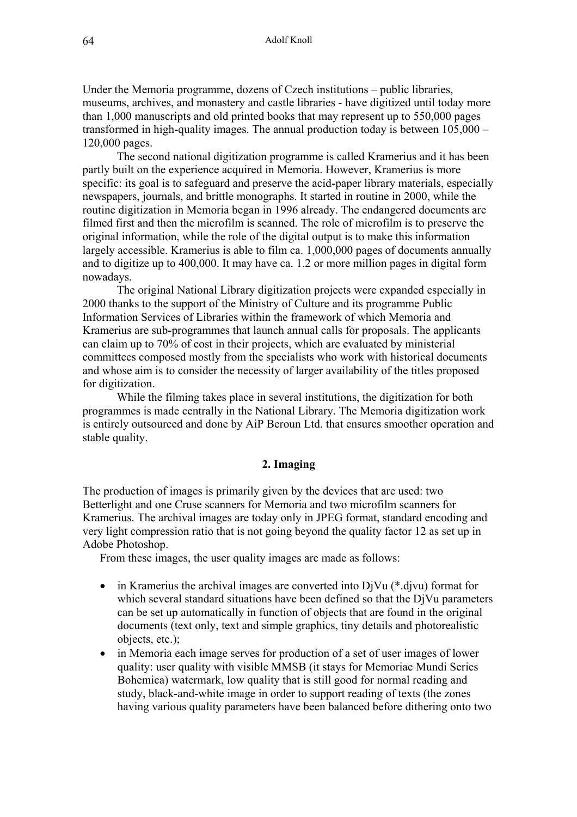Under the Memoria programme, dozens of Czech institutions – public libraries, museums, archives, and monastery and castle libraries - have digitized until today more than 1,000 manuscripts and old printed books that may represent up to 550,000 pages transformed in high-quality images. The annual production today is between 105,000 – 120,000 pages.

The second national digitization programme is called Kramerius and it has been partly built on the experience acquired in Memoria. However, Kramerius is more specific: its goal is to safeguard and preserve the acid-paper library materials, especially newspapers, journals, and brittle monographs. It started in routine in 2000, while the routine digitization in Memoria began in 1996 already. The endangered documents are filmed first and then the microfilm is scanned. The role of microfilm is to preserve the original information, while the role of the digital output is to make this information largely accessible. Kramerius is able to film ca. 1,000,000 pages of documents annually and to digitize up to 400,000. It may have ca. 1.2 or more million pages in digital form nowadays.

The original National Library digitization projects were expanded especially in 2000 thanks to the support of the Ministry of Culture and its programme Public Information Services of Libraries within the framework of which Memoria and Kramerius are sub-programmes that launch annual calls for proposals. The applicants can claim up to 70% of cost in their projects, which are evaluated by ministerial committees composed mostly from the specialists who work with historical documents and whose aim is to consider the necessity of larger availability of the titles proposed for digitization.

While the filming takes place in several institutions, the digitization for both programmes is made centrally in the National Library. The Memoria digitization work is entirely outsourced and done by AiP Beroun Ltd. that ensures smoother operation and stable quality.

## **2. Imaging**

The production of images is primarily given by the devices that are used: two Betterlight and one Cruse scanners for Memoria and two microfilm scanners for Kramerius. The archival images are today only in JPEG format, standard encoding and very light compression ratio that is not going beyond the quality factor 12 as set up in Adobe Photoshop.

From these images, the user quality images are made as follows:

- in Kramerius the archival images are converted into  $D<sub>i</sub>Vu$  (\*.djvu) format for which several standard situations have been defined so that the DjVu parameters can be set up automatically in function of objects that are found in the original documents (text only, text and simple graphics, tiny details and photorealistic objects, etc.);
- in Memoria each image serves for production of a set of user images of lower quality: user quality with visible MMSB (it stays for Memoriae Mundi Series Bohemica) watermark, low quality that is still good for normal reading and study, black-and-white image in order to support reading of texts (the zones having various quality parameters have been balanced before dithering onto two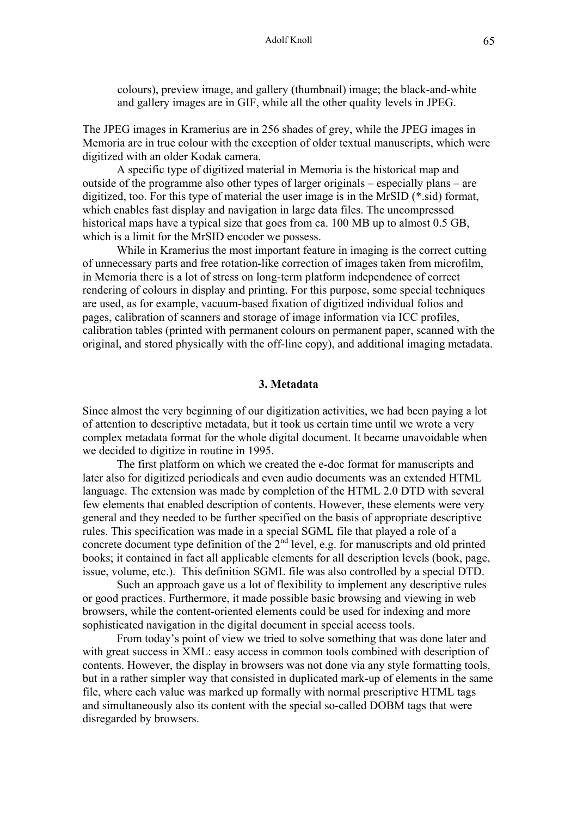colours), preview image, and gallery (thumbnail) image; the black-and-white and gallery images are in GIF, while all the other quality levels in JPEG.

The JPEG images in Kramerius are in 256 shades of grey, while the JPEG images in Memoria are in true colour with the exception of older textual manuscripts, which were digitized with an older Kodak camera.

A specific type of digitized material in Memoria is the historical map and outside of the programme also other types of larger originals – especially plans – are digitized, too. For this type of material the user image is in the MrSID (\*.sid) format, which enables fast display and navigation in large data files. The uncompressed historical maps have a typical size that goes from ca. 100 MB up to almost 0.5 GB, which is a limit for the MrSID encoder we possess.

While in Kramerius the most important feature in imaging is the correct cutting of unnecessary parts and free rotation-like correction of images taken from microfilm, in Memoria there is a lot of stress on long-term platform independence of correct rendering of colours in display and printing. For this purpose, some special techniques are used, as for example, vacuum-based fixation of digitized individual folios and pages, calibration of scanners and storage of image information via ICC profiles, calibration tables (printed with permanent colours on permanent paper, scanned with the original, and stored physically with the off-line copy), and additional imaging metadata.

#### **3. Metadata**

Since almost the very beginning of our digitization activities, we had been paying a lot of attention to descriptive metadata, but it took us certain time until we wrote a very complex metadata format for the whole digital document. It became unavoidable when we decided to digitize in routine in 1995.

The first platform on which we created the e-doc format for manuscripts and later also for digitized periodicals and even audio documents was an extended HTML language. The extension was made by completion of the HTML 2.0 DTD with several few elements that enabled description of contents. However, these elements were very general and they needed to be further specified on the basis of appropriate descriptive rules. This specification was made in a special SGML file that played a role of a concrete document type definition of the  $2<sup>nd</sup>$  level, e.g. for manuscripts and old printed books; it contained in fact all applicable elements for all description levels (book, page, issue, volume, etc.). This definition SGML file was also controlled by a special DTD.

Such an approach gave us a lot of flexibility to implement any descriptive rules or good practices. Furthermore, it made possible basic browsing and viewing in web browsers, while the content-oriented elements could be used for indexing and more sophisticated navigation in the digital document in special access tools.

From today's point of view we tried to solve something that was done later and with great success in XML: easy access in common tools combined with description of contents. However, the display in browsers was not done via any style formatting tools, but in a rather simpler way that consisted in duplicated mark-up of elements in the same file, where each value was marked up formally with normal prescriptive HTML tags and simultaneously also its content with the special so-called DOBM tags that were disregarded by browsers.